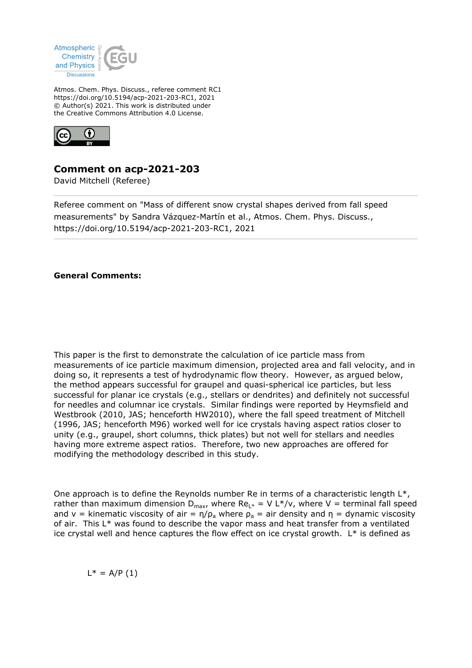

Atmos. Chem. Phys. Discuss., referee comment RC1 https://doi.org/10.5194/acp-2021-203-RC1, 2021 © Author(s) 2021. This work is distributed under the Creative Commons Attribution 4.0 License.



## **Comment on acp-2021-203**

David Mitchell (Referee)

Referee comment on "Mass of different snow crystal shapes derived from fall speed measurements" by Sandra Vázquez-Martín et al., Atmos. Chem. Phys. Discuss., https://doi.org/10.5194/acp-2021-203-RC1, 2021

## **General Comments:**

This paper is the first to demonstrate the calculation of ice particle mass from measurements of ice particle maximum dimension, projected area and fall velocity, and in doing so, it represents a test of hydrodynamic flow theory. However, as argued below, the method appears successful for graupel and quasi-spherical ice particles, but less successful for planar ice crystals (e.g., stellars or dendrites) and definitely not successful for needles and columnar ice crystals. Similar findings were reported by Heymsfield and Westbrook (2010, JAS; henceforth HW2010), where the fall speed treatment of Mitchell (1996, JAS; henceforth M96) worked well for ice crystals having aspect ratios closer to unity (e.g., graupel, short columns, thick plates) but not well for stellars and needles having more extreme aspect ratios. Therefore, two new approaches are offered for modifying the methodology described in this study.

One approach is to define the Reynolds number Re in terms of a characteristic length  $L^*$ , rather than maximum dimension  $D_{max}$ , where  $Re_{L*} = V L*/v$ , where V = terminal fall speed and v = kinematic viscosity of air =  $\eta/\rho_a$  where  $\rho_a$  = air density and  $\eta$  = dynamic viscosity of air. This L\* was found to describe the vapor mass and heat transfer from a ventilated ice crystal well and hence captures the flow effect on ice crystal growth.  $L^*$  is defined as

 $L^* = A/P(1)$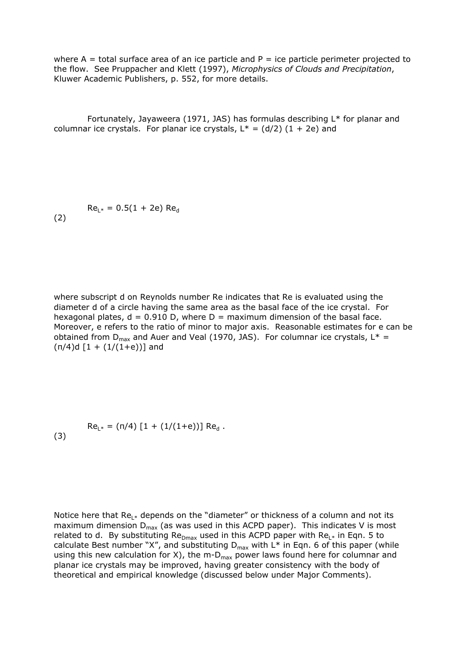where  $A =$  total surface area of an ice particle and  $P =$  ice particle perimeter projected to the flow. See Pruppacher and Klett (1997), *Microphysics of Clouds and Precipitation*, Kluwer Academic Publishers, p. 552, for more details.

 Fortunately, Jayaweera (1971, JAS) has formulas describing L\* for planar and columnar ice crystals. For planar ice crystals,  $L^* = (d/2) (1 + 2e)$  and

 $Re_{L^*} = 0.5(1 + 2e)$  Re<sub>d</sub>

(2)

where subscript d on Reynolds number Re indicates that Re is evaluated using the diameter d of a circle having the same area as the basal face of the ice crystal. For hexagonal plates,  $d = 0.910$  D, where  $D =$  maximum dimension of the basal face. Moreover, e refers to the ratio of minor to major axis. Reasonable estimates for e can be obtained from  $D_{max}$  and Auer and Veal (1970, JAS). For columnar ice crystals,  $L^*$  =  $(n/4)d [1 + (1/(1+e))]$  and

 $Re_{L^*} = (\pi/4) [1 + (1/(1+e))] Re_{d}$ . (3)

Notice here that  $Re_{L^*}$  depends on the "diameter" or thickness of a column and not its maximum dimension  $D_{max}$  (as was used in this ACPD paper). This indicates V is most related to d. By substituting Re $_{Dmax}$  used in this ACPD paper with Re<sub>L\*</sub> in Eqn. 5 to calculate Best number "X", and substituting  $D_{\text{max}}$  with L\* in Eqn. 6 of this paper (while using this new calculation for X), the m- $D_{\text{max}}$  power laws found here for columnar and planar ice crystals may be improved, having greater consistency with the body of theoretical and empirical knowledge (discussed below under Major Comments).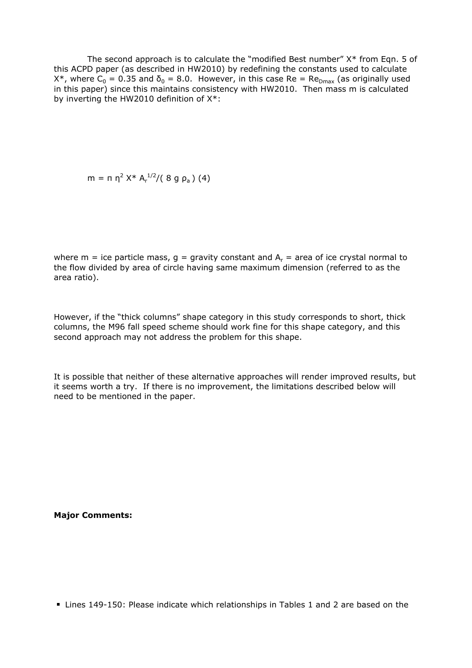The second approach is to calculate the "modified Best number"  $X^*$  from Eqn. 5 of this ACPD paper (as described in HW2010) by redefining the constants used to calculate  $X^*$ , where  $C_0 = 0.35$  and  $\delta_0 = 8.0$ . However, in this case Re = Re<sub>Dmax</sub> (as originally used in this paper) since this maintains consistency with HW2010. Then mass m is calculated by inverting the HW2010 definition of X\*:

 $m = \pi \eta^2 X^* A_r^{1/2}/(8 g \rho_a)$  (4)

where m = ice particle mass,  $g = g$ ravity constant and  $A_r = a$ rea of ice crystal normal to the flow divided by area of circle having same maximum dimension (referred to as the area ratio).

However, if the "thick columns" shape category in this study corresponds to short, thick columns, the M96 fall speed scheme should work fine for this shape category, and this second approach may not address the problem for this shape.

It is possible that neither of these alternative approaches will render improved results, but it seems worth a try. If there is no improvement, the limitations described below will need to be mentioned in the paper.

**Major Comments:**

■ Lines 149-150: Please indicate which relationships in Tables 1 and 2 are based on the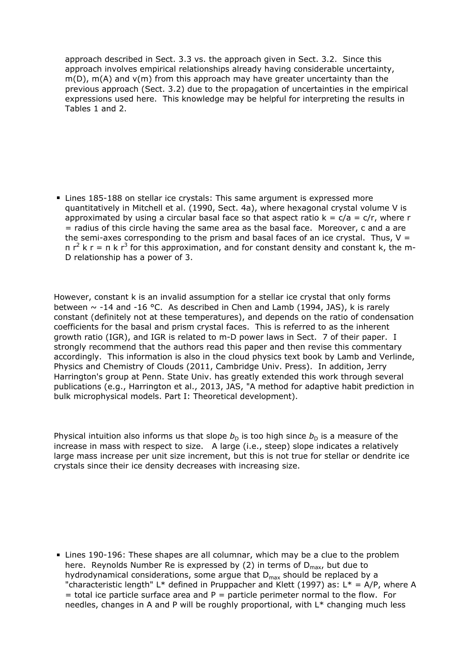approach described in Sect. 3.3 vs. the approach given in Sect. 3.2. Since this approach involves empirical relationships already having considerable uncertainty,  $m(D)$ ,  $m(A)$  and  $v(m)$  from this approach may have greater uncertainty than the previous approach (Sect. 3.2) due to the propagation of uncertainties in the empirical expressions used here. This knowledge may be helpful for interpreting the results in Tables 1 and 2.

Lines 185-188 on stellar ice crystals: This same argument is expressed more quantitatively in Mitchell et al. (1990, Sect. 4a), where hexagonal crystal volume V is approximated by using a circular basal face so that aspect ratio  $k = c/a = c/r$ , where r  $=$  radius of this circle having the same area as the basal face. Moreover, c and a are the semi-axes corresponding to the prism and basal faces of an ice crystal. Thus,  $V =$ π  $r^2$  k r = π k  $r^3$  for this approximation, and for constant density and constant k, the m-D relationship has a power of 3.

However, constant k is an invalid assumption for a stellar ice crystal that only forms between  $\sim$  -14 and -16 °C. As described in Chen and Lamb (1994, JAS), k is rarely constant (definitely not at these temperatures), and depends on the ratio of condensation coefficients for the basal and prism crystal faces. This is referred to as the inherent growth ratio (IGR), and IGR is related to m-D power laws in Sect. 7 of their paper. I strongly recommend that the authors read this paper and then revise this commentary accordingly. This information is also in the cloud physics text book by Lamb and Verlinde, Physics and Chemistry of Clouds (2011, Cambridge Univ. Press). In addition, Jerry Harrington's group at Penn. State Univ. has greatly extended this work through several publications (e.g., Harrington et al., 2013, JAS, "A method for adaptive habit prediction in bulk microphysical models. Part I: Theoretical development).

Physical intuition also informs us that slope  $b<sub>D</sub>$  is too high since  $b<sub>D</sub>$  is a measure of the increase in mass with respect to size. A large (i.e., steep) slope indicates a relatively large mass increase per unit size increment, but this is not true for stellar or dendrite ice crystals since their ice density decreases with increasing size.

Lines 190-196: These shapes are all columnar, which may be a clue to the problem here. Reynolds Number Re is expressed by (2) in terms of  $D_{max}$ , but due to hydrodynamical considerations, some argue that  $D_{\text{max}}$  should be replaced by a "characteristic length" L\* defined in Pruppacher and Klett (1997) as: L\* = A/P, where A  $=$  total ice particle surface area and P  $=$  particle perimeter normal to the flow. For needles, changes in A and P will be roughly proportional, with L\* changing much less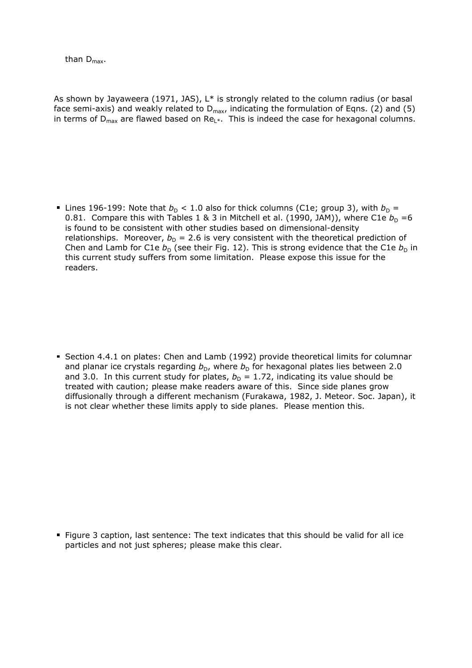than  $D_{\text{max}}$ .

As shown by Jayaweera (1971, JAS),  $L^*$  is strongly related to the column radius (or basal face semi-axis) and weakly related to  $D_{max}$ , indicating the formulation of Eqns. (2) and (5) in terms of  $D_{\text{max}}$  are flawed based on Re $L^*$ . This is indeed the case for hexagonal columns.

Lines 196-199: Note that  $b_D < 1.0$  also for thick columns (C1e; group 3), with  $b_D =$ 0.81. Compare this with Tables 1 & 3 in Mitchell et al. (1990, JAM)), where C1e  $b<sub>D</sub> = 6$ is found to be consistent with other studies based on dimensional-density relationships. Moreover,  $b_D = 2.6$  is very consistent with the theoretical prediction of Chen and Lamb for C1e  $b<sub>D</sub>$  (see their Fig. 12). This is strong evidence that the C1e  $b<sub>D</sub>$  in this current study suffers from some limitation. Please expose this issue for the readers.

Section 4.4.1 on plates: Chen and Lamb (1992) provide theoretical limits for columnar and planar ice crystals regarding  $b<sub>D</sub>$ , where  $b<sub>D</sub>$  for hexagonal plates lies between 2.0 and 3.0. In this current study for plates,  $b_D = 1.72$ , indicating its value should be treated with caution; please make readers aware of this. Since side planes grow diffusionally through a different mechanism (Furakawa, 1982, J. Meteor. Soc. Japan), it is not clear whether these limits apply to side planes. Please mention this.

Figure 3 caption, last sentence: The text indicates that this should be valid for all ice particles and not just spheres; please make this clear.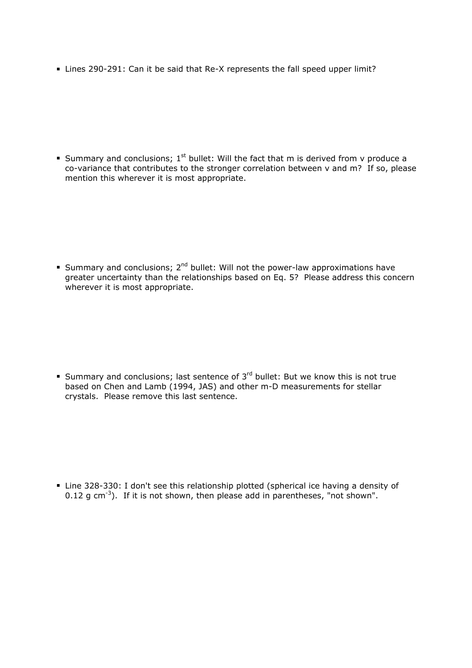■ Lines 290-291: Can it be said that Re-X represents the fall speed upper limit?

Summary and conclusions;  $1<sup>st</sup>$  bullet: Will the fact that m is derived from v produce a co-variance that contributes to the stronger correlation between v and m? If so, please mention this wherever it is most appropriate.

Summary and conclusions;  $2^{nd}$  bullet: Will not the power-law approximations have greater uncertainty than the relationships based on Eq. 5? Please address this concern wherever it is most appropriate.

Summary and conclusions; last sentence of  $3^{rd}$  bullet: But we know this is not true based on Chen and Lamb (1994, JAS) and other m-D measurements for stellar crystals. Please remove this last sentence.

Line 328-330: I don't see this relationship plotted (spherical ice having a density of 0.12 g cm<sup>-3</sup>). If it is not shown, then please add in parentheses, "not shown".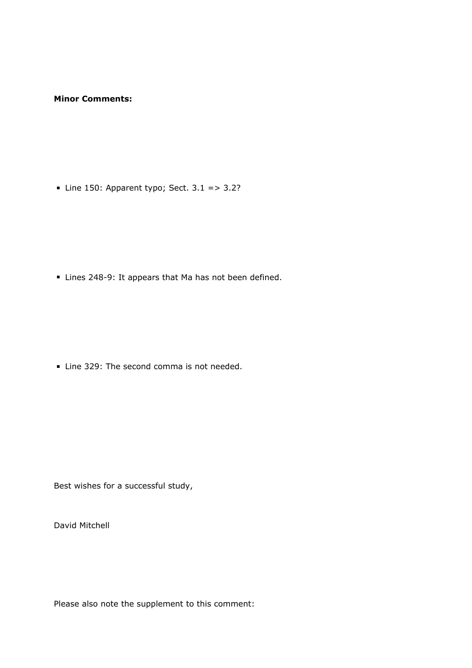## **Minor Comments:**

- Line 150: Apparent typo; Sect.  $3.1 = > 3.2$ ?

Lines 248-9: It appears that Ma has not been defined.

Line 329: The second comma is not needed.

Best wishes for a successful study,

David Mitchell

Please also note the supplement to this comment: